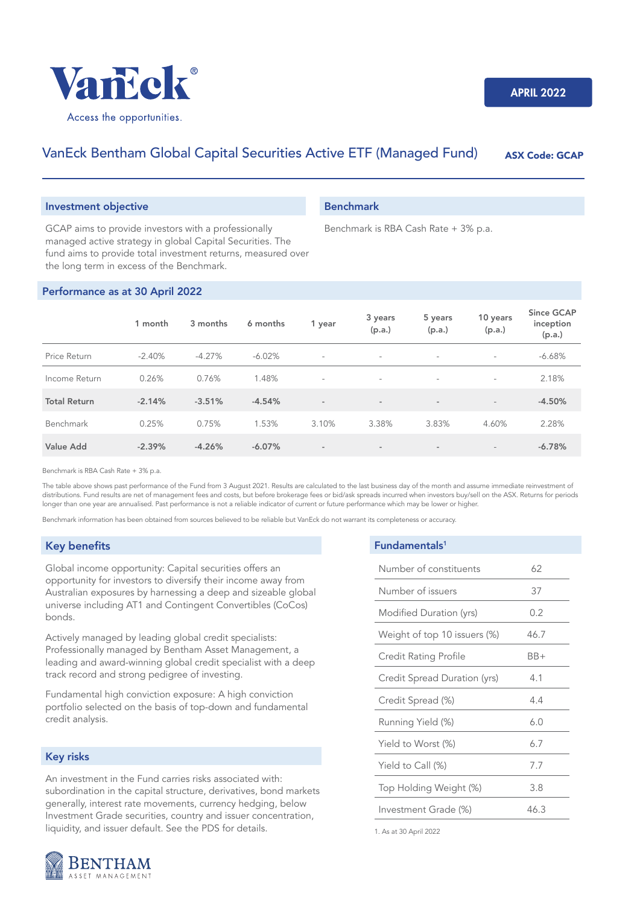

# VanEck Bentham Global Capital Securities Active ETF (Managed Fund) ASX Code: GCAP

### Investment objective

GCAP aims to provide investors with a professionally managed active strategy in global Capital Securities. The fund aims to provide total investment returns, measured over the long term in excess of the Benchmark.

### Performance as at 30 April 2022

|                     | 1 month  | 3 months | 6 months | 1 year                   | 3 years<br>(p.a.)        | 5 years<br>(p.a.) | 10 years<br>(p.a.)       | <b>Since GCAP</b><br>inception<br>(p.a.) |
|---------------------|----------|----------|----------|--------------------------|--------------------------|-------------------|--------------------------|------------------------------------------|
| Price Return        | $-2.40%$ | $-4.27%$ | $-6.02%$ | $\sim$                   | $\sim$                   | $\sim$            | $\sim$                   | $-6.68%$                                 |
| Income Return       | 0.26%    | 0.76%    | 1.48%    | $\overline{\phantom{a}}$ | $\overline{\phantom{a}}$ | $\sim$            | ÷                        | 2.18%                                    |
| <b>Total Return</b> | $-2.14%$ | $-3.51%$ | $-4.54%$ | $\sim$                   | $\sim$                   | $\sim$            | $\overline{\phantom{a}}$ | $-4.50%$                                 |
| Benchmark           | 0.25%    | 0.75%    | 1.53%    | 3.10%                    | 3.38%                    | 3.83%             | 4.60%                    | 2.28%                                    |
| Value Add           | $-2.39%$ | $-4.26%$ | $-6.07%$ | $\sim$                   | $\sim$                   | $\sim$            | $\overline{\phantom{a}}$ | $-6.78%$                                 |

Benchmark is RBA Cash Rate + 3% p.a.

The table above shows past performance of the Fund from 3 August 2021. Results are calculated to the last business day of the month and assume immediate reinvestment of distributions. Fund results are net of management fees and costs, but before brokerage fees or bid/ask spreads incurred when investors buy/sell on the ASX. Returns for periods longer than one year are annualised. Past performance is not a reliable indicator of current or future performance which may be lower or higher.

Benchmark information has been obtained from sources believed to be reliable but VanEck do not warrant its completeness or accuracy.

### Key benefits

Global income opportunity: Capital securities offers an opportunity for investors to diversify their income away from Australian exposures by harnessing a deep and sizeable global universe including AT1 and Contingent Convertibles (CoCos) bonds.

Actively managed by leading global credit specialists: Professionally managed by Bentham Asset Management, a leading and award-winning global credit specialist with a deep track record and strong pedigree of investing.

Fundamental high conviction exposure: A high conviction portfolio selected on the basis of top-down and fundamental credit analysis.

# Key risks

An investment in the Fund carries risks associated with: subordination in the capital structure, derivatives, bond markets generally, interest rate movements, currency hedging, below Investment Grade securities, country and issuer concentration, liquidity, and issuer default. See the PDS for details.



1. As at 30 April 2022



## Benchmark

Benchmark is RBA Cash Rate + 3% p.a.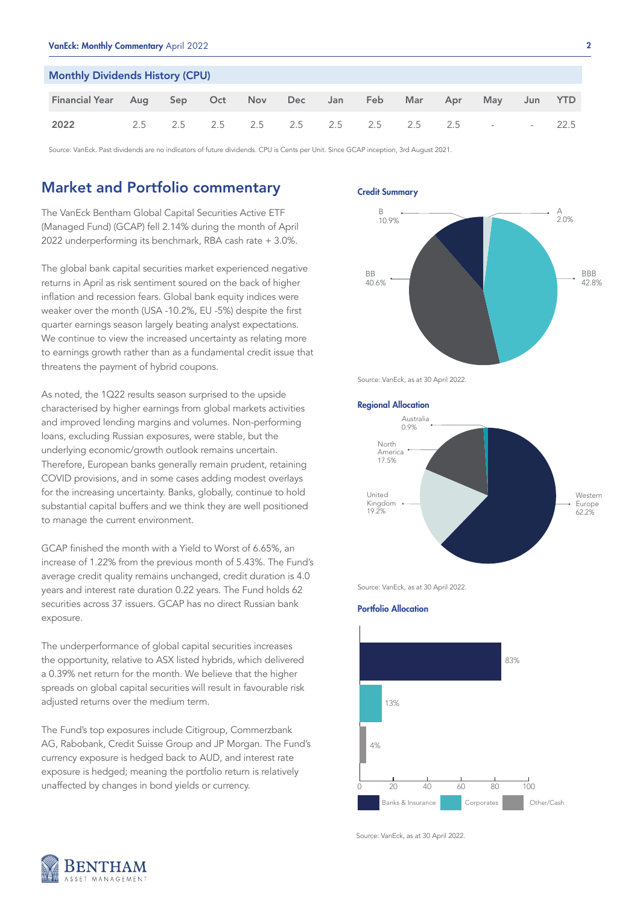| <b>Monthly Dividends History (CPU)</b> |     |     |  |                             |  |     |      |     |     |                            |        |      |
|----------------------------------------|-----|-----|--|-----------------------------|--|-----|------|-----|-----|----------------------------|--------|------|
| <b>Financial Year</b>                  | Aug | Sep |  | Oct Nov Dec                 |  | Jan | Feb. | Mar | Apr | May                        | Jun    | YTD. |
| 2022                                   | 2.5 | 2.5 |  | 2.5 2.5 2.5 2.5 2.5 2.5 2.5 |  |     |      |     |     | the company of the company | $\sim$ | 22.5 |

Source: VanEck. Past dividends are no indicators of future dividends. CPU is Cents per Unit. Since GCAP inception, 3rd August 2021.

# Market and Portfolio commentary

The VanEck Bentham Global Capital Securities Active ETF (Managed Fund) (GCAP) fell 2.14% during the month of April 2022 underperforming its benchmark, RBA cash rate + 3.0%.

The global bank capital securities market experienced negative returns in April as risk sentiment soured on the back of higher inflation and recession fears. Global bank equity indices were weaker over the month (USA -10.2%, EU -5%) despite the first quarter earnings season largely beating analyst expectations. We continue to view the increased uncertainty as relating more to earnings growth rather than as a fundamental credit issue that threatens the payment of hybrid coupons.

As noted, the 1Q22 results season surprised to the upside characterised by higher earnings from global markets activities and improved lending margins and volumes. Non-performing loans, excluding Russian exposures, were stable, but the underlying economic/growth outlook remains uncertain. Therefore, European banks generally remain prudent, retaining COVID provisions, and in some cases adding modest overlays for the increasing uncertainty. Banks, globally, continue to hold substantial capital buffers and we think they are well positioned to manage the current environment.

GCAP finished the month with a Yield to Worst of 6.65%, an increase of 1.22% from the previous month of 5.43%. The Fund's average credit quality remains unchanged, credit duration is 4.0 years and interest rate duration 0.22 years. The Fund holds 62 securities across 37 issuers. GCAP has no direct Russian bank exposure.

The underperformance of global capital securities increases the opportunity, relative to ASX listed hybrids, which delivered a 0.39% net return for the month. We believe that the higher spreads on global capital securities will result in favourable risk adjusted returns over the medium term.

The Fund's top exposures include Citigroup, Commerzbank AG, Rabobank, Credit Suisse Group and JP Morgan. The Fund's currency exposure is hedged back to AUD, and interest rate exposure is hedged; meaning the portfolio return is relatively unaffected by changes in bond yields or currency.

Credit Summary



Source: VanEck, as at 30 April 2022.

## Regional Allocation



Source: VanEck, as at 30 April 2022.

#### Portfolio Allocation



Source: VanEck, as at 30 April 2022.